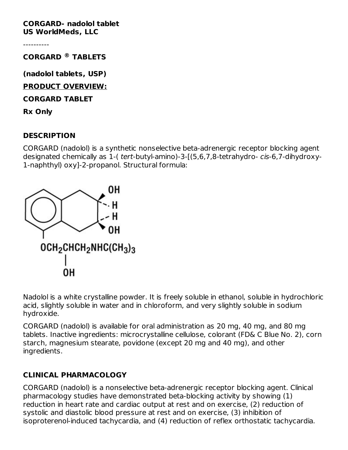**CORGARD- nadolol tablet US WorldMeds, LLC**

----------

**CORGARD TABLETS ®**

**(nadolol tablets, USP)**

**PRODUCT OVERVIEW:**

**CORGARD TABLET**

**Rx Only**

#### **DESCRIPTION**

CORGARD (nadolol) is a synthetic nonselective beta-adrenergic receptor blocking agent designated chemically as 1-( tert-butyl-amino)-3-[(5,6,7,8-tetrahydro- cis-6,7-dihydroxy-1-naphthyl) oxy]-2-propanol. Structural formula:



Nadolol is a white crystalline powder. It is freely soluble in ethanol, soluble in hydrochloric acid, slightly soluble in water and in chloroform, and very slightly soluble in sodium hydroxide.

CORGARD (nadolol) is available for oral administration as 20 mg, 40 mg, and 80 mg tablets. Inactive ingredients: microcrystalline cellulose, colorant (FD& C Blue No. 2), corn starch, magnesium stearate, povidone (except 20 mg and 40 mg), and other ingredients.

## **CLINICAL PHARMACOLOGY**

CORGARD (nadolol) is a nonselective beta-adrenergic receptor blocking agent. Clinical pharmacology studies have demonstrated beta-blocking activity by showing (1) reduction in heart rate and cardiac output at rest and on exercise, (2) reduction of systolic and diastolic blood pressure at rest and on exercise, (3) inhibition of isoproterenol-induced tachycardia, and (4) reduction of reflex orthostatic tachycardia.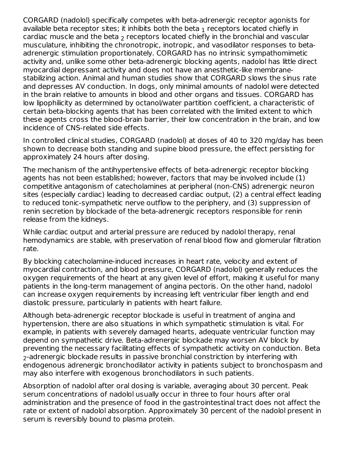CORGARD (nadolol) specifically competes with beta-adrenergic receptor agonists for available beta receptor sites; it inhibits both the beta  $_{\rm 1}$  receptors located chiefly in cardiac muscle and the beta  $_2$  receptors located chiefly in the bronchial and vascular musculature, inhibiting the chronotropic, inotropic, and vasodilator responses to betaadrenergic stimulation proportionately. CORGARD has no intrinsic sympathomimetic activity and, unlike some other beta-adrenergic blocking agents, nadolol has little direct myocardial depressant activity and does not have an anesthetic-like membranestabilizing action. Animal and human studies show that CORGARD slows the sinus rate and depresses AV conduction. In dogs, only minimal amounts of nadolol were detected in the brain relative to amounts in blood and other organs and tissues. CORGARD has low lipophilicity as determined by octanol/water partition coefficient, a characteristic of certain beta-blocking agents that has been correlated with the limited extent to which these agents cross the blood-brain barrier, their low concentration in the brain, and low incidence of CNS-related side effects.

In controlled clinical studies, CORGARD (nadolol) at doses of 40 to 320 mg/day has been shown to decrease both standing and supine blood pressure, the effect persisting for approximately 24 hours after dosing.

The mechanism of the antihypertensive effects of beta-adrenergic receptor blocking agents has not been established; however, factors that may be involved include (1) competitive antagonism of catecholamines at peripheral (non-CNS) adrenergic neuron sites (especially cardiac) leading to decreased cardiac output, (2) a central effect leading to reduced tonic-sympathetic nerve outflow to the periphery, and (3) suppression of renin secretion by blockade of the beta-adrenergic receptors responsible for renin release from the kidneys.

While cardiac output and arterial pressure are reduced by nadolol therapy, renal hemodynamics are stable, with preservation of renal blood flow and glomerular filtration rate.

By blocking catecholamine-induced increases in heart rate, velocity and extent of myocardial contraction, and blood pressure, CORGARD (nadolol) generally reduces the oxygen requirements of the heart at any given level of effort, making it useful for many patients in the long-term management of angina pectoris. On the other hand, nadolol can increase oxygen requirements by increasing left ventricular fiber length and end diastolic pressure, particularly in patients with heart failure.

Although beta-adrenergic receptor blockade is useful in treatment of angina and hypertension, there are also situations in which sympathetic stimulation is vital. For example, in patients with severely damaged hearts, adequate ventricular function may depend on sympathetic drive. Beta-adrenergic blockade may worsen AV block by preventing the necessary facilitating effects of sympathetic activity on conduction. Beta -adrenergic blockade results in passive bronchial constriction by interfering with 2endogenous adrenergic bronchodilator activity in patients subject to bronchospasm and may also interfere with exogenous bronchodilators in such patients.

Absorption of nadolol after oral dosing is variable, averaging about 30 percent. Peak serum concentrations of nadolol usually occur in three to four hours after oral administration and the presence of food in the gastrointestinal tract does not affect the rate or extent of nadolol absorption. Approximately 30 percent of the nadolol present in serum is reversibly bound to plasma protein.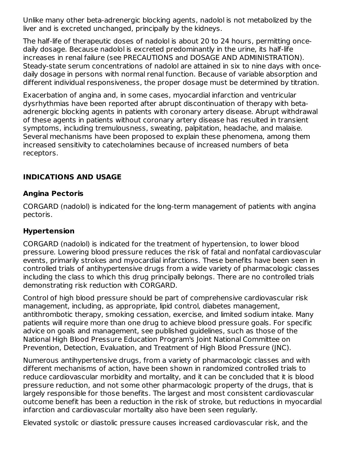Unlike many other beta-adrenergic blocking agents, nadolol is not metabolized by the liver and is excreted unchanged, principally by the kidneys.

The half-life of therapeutic doses of nadolol is about 20 to 24 hours, permitting oncedaily dosage. Because nadolol is excreted predominantly in the urine, its half-life increases in renal failure (see PRECAUTIONS and DOSAGE AND ADMINISTRATION). Steady-state serum concentrations of nadolol are attained in six to nine days with oncedaily dosage in persons with normal renal function. Because of variable absorption and different individual responsiveness, the proper dosage must be determined by titration.

Exacerbation of angina and, in some cases, myocardial infarction and ventricular dysrhythmias have been reported after abrupt discontinuation of therapy with betaadrenergic blocking agents in patients with coronary artery disease. Abrupt withdrawal of these agents in patients without coronary artery disease has resulted in transient symptoms, including tremulousness, sweating, palpitation, headache, and malaise. Several mechanisms have been proposed to explain these phenomena, among them increased sensitivity to catecholamines because of increased numbers of beta receptors.

## **INDICATIONS AND USAGE**

#### **Angina Pectoris**

CORGARD (nadolol) is indicated for the long-term management of patients with angina pectoris.

#### **Hypertension**

CORGARD (nadolol) is indicated for the treatment of hypertension, to lower blood pressure. Lowering blood pressure reduces the risk of fatal and nonfatal cardiovascular events, primarily strokes and myocardial infarctions. These benefits have been seen in controlled trials of antihypertensive drugs from a wide variety of pharmacologic classes including the class to which this drug principally belongs. There are no controlled trials demonstrating risk reduction with CORGARD.

Control of high blood pressure should be part of comprehensive cardiovascular risk management, including, as appropriate, lipid control, diabetes management, antithrombotic therapy, smoking cessation, exercise, and limited sodium intake. Many patients will require more than one drug to achieve blood pressure goals. For specific advice on goals and management, see published guidelines, such as those of the National High Blood Pressure Education Program's Joint National Committee on Prevention, Detection, Evaluation, and Treatment of High Blood Pressure (JNC).

Numerous antihypertensive drugs, from a variety of pharmacologic classes and with different mechanisms of action, have been shown in randomized controlled trials to reduce cardiovascular morbidity and mortality, and it can be concluded that it is blood pressure reduction, and not some other pharmacologic property of the drugs, that is largely responsible for those benefits. The largest and most consistent cardiovascular outcome benefit has been a reduction in the risk of stroke, but reductions in myocardial infarction and cardiovascular mortality also have been seen regularly.

Elevated systolic or diastolic pressure causes increased cardiovascular risk, and the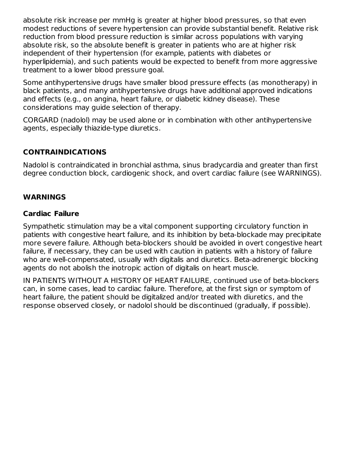absolute risk increase per mmHg is greater at higher blood pressures, so that even modest reductions of severe hypertension can provide substantial benefit. Relative risk reduction from blood pressure reduction is similar across populations with varying absolute risk, so the absolute benefit is greater in patients who are at higher risk independent of their hypertension (for example, patients with diabetes or hyperlipidemia), and such patients would be expected to benefit from more aggressive treatment to a lower blood pressure goal.

Some antihypertensive drugs have smaller blood pressure effects (as monotherapy) in black patients, and many antihypertensive drugs have additional approved indications and effects (e.g., on angina, heart failure, or diabetic kidney disease). These considerations may guide selection of therapy.

CORGARD (nadolol) may be used alone or in combination with other antihypertensive agents, especially thiazide-type diuretics.

# **CONTRAINDICATIONS**

Nadolol is contraindicated in bronchial asthma, sinus bradycardia and greater than first degree conduction block, cardiogenic shock, and overt cardiac failure (see WARNINGS).

### **WARNINGS**

#### **Cardiac Failure**

Sympathetic stimulation may be a vital component supporting circulatory function in patients with congestive heart failure, and its inhibition by beta-blockade may precipitate more severe failure. Although beta-blockers should be avoided in overt congestive heart failure, if necessary, they can be used with caution in patients with a history of failure who are well-compensated, usually with digitalis and diuretics. Beta-adrenergic blocking agents do not abolish the inotropic action of digitalis on heart muscle.

IN PATIENTS WITHOUT A HISTORY OF HEART FAILURE, continued use of beta-blockers can, in some cases, lead to cardiac failure. Therefore, at the first sign or symptom of heart failure, the patient should be digitalized and/or treated with diuretics, and the response observed closely, or nadolol should be discontinued (gradually, if possible).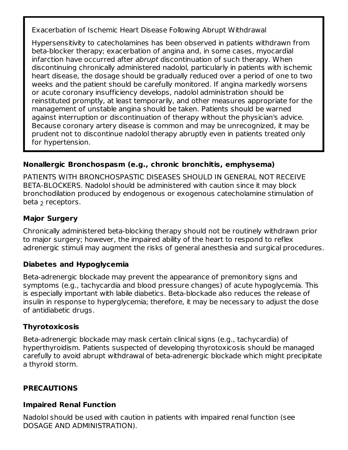Exacerbation of Ischemic Heart Disease Following Abrupt Withdrawal

Hypersensitivity to catecholamines has been observed in patients withdrawn from beta-blocker therapy; exacerbation of angina and, in some cases, myocardial infarction have occurred after abrupt discontinuation of such therapy. When discontinuing chronically administered nadolol, particularly in patients with ischemic heart disease, the dosage should be gradually reduced over a period of one to two weeks and the patient should be carefully monitored. If angina markedly worsens or acute coronary insufficiency develops, nadolol administration should be reinstituted promptly, at least temporarily, and other measures appropriate for the management of unstable angina should be taken. Patients should be warned against interruption or discontinuation of therapy without the physician's advice. Because coronary artery disease is common and may be unrecognized, it may be prudent not to discontinue nadolol therapy abruptly even in patients treated only for hypertension.

## **Nonallergic Bronchospasm (e.g., chronic bronchitis, emphysema)**

PATIENTS WITH BRONCHOSPASTIC DISEASES SHOULD IN GENERAL NOT RECEIVE BETA-BLOCKERS. Nadolol should be administered with caution since it may block bronchodilation produced by endogenous or exogenous catecholamine stimulation of beta <sub>2</sub> receptors.

### **Major Surgery**

Chronically administered beta-blocking therapy should not be routinely withdrawn prior to major surgery; however, the impaired ability of the heart to respond to reflex adrenergic stimuli may augment the risks of general anesthesia and surgical procedures.

## **Diabetes and Hypoglycemia**

Beta-adrenergic blockade may prevent the appearance of premonitory signs and symptoms (e.g., tachycardia and blood pressure changes) of acute hypoglycemia. This is especially important with labile diabetics. Beta-blockade also reduces the release of insulin in response to hyperglycemia; therefore, it may be necessary to adjust the dose of antidiabetic drugs.

#### **Thyrotoxicosis**

Beta-adrenergic blockade may mask certain clinical signs (e.g., tachycardia) of hyperthyroidism. Patients suspected of developing thyrotoxicosis should be managed carefully to avoid abrupt withdrawal of beta-adrenergic blockade which might precipitate a thyroid storm.

## **PRECAUTIONS**

#### **Impaired Renal Function**

Nadolol should be used with caution in patients with impaired renal function (see DOSAGE AND ADMINISTRATION).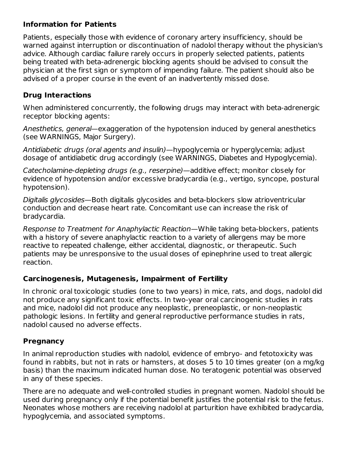### **Information for Patients**

Patients, especially those with evidence of coronary artery insufficiency, should be warned against interruption or discontinuation of nadolol therapy without the physician's advice. Although cardiac failure rarely occurs in properly selected patients, patients being treated with beta-adrenergic blocking agents should be advised to consult the physician at the first sign or symptom of impending failure. The patient should also be advised of a proper course in the event of an inadvertently missed dose.

## **Drug Interactions**

When administered concurrently, the following drugs may interact with beta-adrenergic receptor blocking agents:

Anesthetics, general—exaggeration of the hypotension induced by general anesthetics (see WARNINGS, Major Surgery).

Antidiabetic drugs (oral agents and insulin)—hypoglycemia or hyperglycemia; adjust dosage of antidiabetic drug accordingly (see WARNINGS, Diabetes and Hypoglycemia).

Catecholamine-depleting drugs (e.g., reserpine)—additive effect; monitor closely for evidence of hypotension and/or excessive bradycardia (e.g., vertigo, syncope, postural hypotension).

Digitalis glycosides—Both digitalis glycosides and beta-blockers slow atrioventricular conduction and decrease heart rate. Concomitant use can increase the risk of bradycardia.

Response to Treatment for Anaphylactic Reaction—While taking beta-blockers, patients with a history of severe anaphylactic reaction to a variety of allergens may be more reactive to repeated challenge, either accidental, diagnostic, or therapeutic. Such patients may be unresponsive to the usual doses of epinephrine used to treat allergic reaction.

## **Carcinogenesis, Mutagenesis, Impairment of Fertility**

In chronic oral toxicologic studies (one to two years) in mice, rats, and dogs, nadolol did not produce any significant toxic effects. In two-year oral carcinogenic studies in rats and mice, nadolol did not produce any neoplastic, preneoplastic, or non-neoplastic pathologic lesions. In fertility and general reproductive performance studies in rats, nadolol caused no adverse effects.

## **Pregnancy**

In animal reproduction studies with nadolol, evidence of embryo- and fetotoxicity was found in rabbits, but not in rats or hamsters, at doses 5 to 10 times greater (on a mg/kg basis) than the maximum indicated human dose. No teratogenic potential was observed in any of these species.

There are no adequate and well-controlled studies in pregnant women. Nadolol should be used during pregnancy only if the potential benefit justifies the potential risk to the fetus. Neonates whose mothers are receiving nadolol at parturition have exhibited bradycardia, hypoglycemia, and associated symptoms.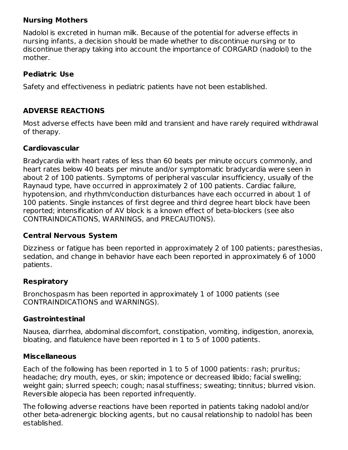### **Nursing Mothers**

Nadolol is excreted in human milk. Because of the potential for adverse effects in nursing infants, a decision should be made whether to discontinue nursing or to discontinue therapy taking into account the importance of CORGARD (nadolol) to the mother.

### **Pediatric Use**

Safety and effectiveness in pediatric patients have not been established.

### **ADVERSE REACTIONS**

Most adverse effects have been mild and transient and have rarely required withdrawal of therapy.

#### **Cardiovascular**

Bradycardia with heart rates of less than 60 beats per minute occurs commonly, and heart rates below 40 beats per minute and/or symptomatic bradycardia were seen in about 2 of 100 patients. Symptoms of peripheral vascular insufficiency, usually of the Raynaud type, have occurred in approximately 2 of 100 patients. Cardiac failure, hypotension, and rhythm/conduction disturbances have each occurred in about 1 of 100 patients. Single instances of first degree and third degree heart block have been reported; intensification of AV block is a known effect of beta-blockers (see also CONTRAINDICATIONS, WARNINGS, and PRECAUTIONS).

#### **Central Nervous System**

Dizziness or fatigue has been reported in approximately 2 of 100 patients; paresthesias, sedation, and change in behavior have each been reported in approximately 6 of 1000 patients.

#### **Respiratory**

Bronchospasm has been reported in approximately 1 of 1000 patients (see CONTRAINDICATIONS and WARNINGS).

#### **Gastrointestinal**

Nausea, diarrhea, abdominal discomfort, constipation, vomiting, indigestion, anorexia, bloating, and flatulence have been reported in 1 to 5 of 1000 patients.

#### **Miscellaneous**

Each of the following has been reported in 1 to 5 of 1000 patients: rash; pruritus; headache; dry mouth, eyes, or skin; impotence or decreased libido; facial swelling; weight gain; slurred speech; cough; nasal stuffiness; sweating; tinnitus; blurred vision. Reversible alopecia has been reported infrequently.

The following adverse reactions have been reported in patients taking nadolol and/or other beta-adrenergic blocking agents, but no causal relationship to nadolol has been established.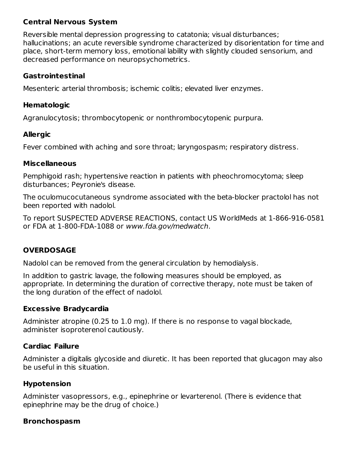### **Central Nervous System**

Reversible mental depression progressing to catatonia; visual disturbances; hallucinations; an acute reversible syndrome characterized by disorientation for time and place, short-term memory loss, emotional lability with slightly clouded sensorium, and decreased performance on neuropsychometrics.

#### **Gastrointestinal**

Mesenteric arterial thrombosis; ischemic colitis; elevated liver enzymes.

### **Hematologic**

Agranulocytosis; thrombocytopenic or nonthrombocytopenic purpura.

## **Allergic**

Fever combined with aching and sore throat; laryngospasm; respiratory distress.

### **Miscellaneous**

Pemphigoid rash; hypertensive reaction in patients with pheochromocytoma; sleep disturbances; Peyronie's disease.

The oculomucocutaneous syndrome associated with the beta-blocker practolol has not been reported with nadolol.

To report SUSPECTED ADVERSE REACTIONS, contact US WorldMeds at 1-866-916-0581 or FDA at 1-800-FDA-1088 or www.fda.gov/medwatch.

# **OVERDOSAGE**

Nadolol can be removed from the general circulation by hemodialysis.

In addition to gastric lavage, the following measures should be employed, as appropriate. In determining the duration of corrective therapy, note must be taken of the long duration of the effect of nadolol.

## **Excessive Bradycardia**

Administer atropine (0.25 to 1.0 mg). If there is no response to vagal blockade, administer isoproterenol cautiously.

## **Cardiac Failure**

Administer a digitalis glycoside and diuretic. It has been reported that glucagon may also be useful in this situation.

# **Hypotension**

Administer vasopressors, e.g., epinephrine or levarterenol. (There is evidence that epinephrine may be the drug of choice.)

# **Bronchospasm**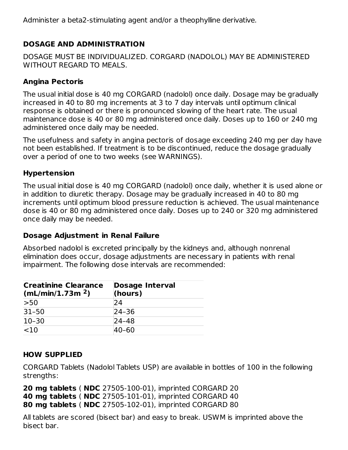Administer a beta2-stimulating agent and/or a theophylline derivative.

### **DOSAGE AND ADMINISTRATION**

DOSAGE MUST BE INDIVIDUALIZED. CORGARD (NADOLOL) MAY BE ADMINISTERED WITHOUT REGARD TO MEALS.

### **Angina Pectoris**

The usual initial dose is 40 mg CORGARD (nadolol) once daily. Dosage may be gradually increased in 40 to 80 mg increments at 3 to 7 day intervals until optimum clinical response is obtained or there is pronounced slowing of the heart rate. The usual maintenance dose is 40 or 80 mg administered once daily. Doses up to 160 or 240 mg administered once daily may be needed.

The usefulness and safety in angina pectoris of dosage exceeding 240 mg per day have not been established. If treatment is to be discontinued, reduce the dosage gradually over a period of one to two weeks (see WARNINGS).

#### **Hypertension**

The usual initial dose is 40 mg CORGARD (nadolol) once daily, whether it is used alone or in addition to diuretic therapy. Dosage may be gradually increased in 40 to 80 mg increments until optimum blood pressure reduction is achieved. The usual maintenance dose is 40 or 80 mg administered once daily. Doses up to 240 or 320 mg administered once daily may be needed.

#### **Dosage Adjustment in Renal Failure**

Absorbed nadolol is excreted principally by the kidneys and, although nonrenal elimination does occur, dosage adjustments are necessary in patients with renal impairment. The following dose intervals are recommended:

| <b>Creatinine Clearance</b><br>(mL/min/1.73m <sup>2</sup> ) | <b>Dosage Interval</b><br>(hours) |  |  |
|-------------------------------------------------------------|-----------------------------------|--|--|
| >50                                                         | 24                                |  |  |
| $31 - 50$                                                   | $24 - 36$                         |  |  |
| $10 - 30$                                                   | $ 24 - 48 $                       |  |  |
| <10                                                         | $40 - 60$                         |  |  |

## **HOW SUPPLIED**

CORGARD Tablets (Nadolol Tablets USP) are available in bottles of 100 in the following strengths:

**20 mg tablets** ( **NDC** 27505-100-01), imprinted CORGARD 20 **40 mg tablets** ( **NDC** 27505-101-01), imprinted CORGARD 40 **80 mg tablets** ( **NDC** 27505-102-01), imprinted CORGARD 80

All tablets are scored (bisect bar) and easy to break. USWM is imprinted above the bisect bar.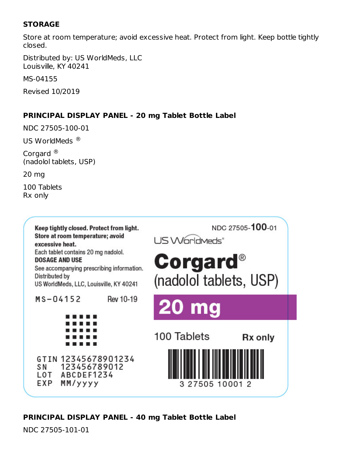### **STORAGE**

Store at room temperature; avoid excessive heat. Protect from light. Keep bottle tightly closed.

Distributed by: US WorldMeds, LLC Louisville, KY 40241

MS-04155

Revised 10/2019

## **PRINCIPAL DISPLAY PANEL - 20 mg Tablet Bottle Label**

NDC 27505-100-01

US WorldMeds<sup>®</sup>

Corgard<sup>®</sup> (nadolol tablets, USP)

20 mg

100 Tablets Rx only



## **PRINCIPAL DISPLAY PANEL - 40 mg Tablet Bottle Label**

NDC 27505-101-01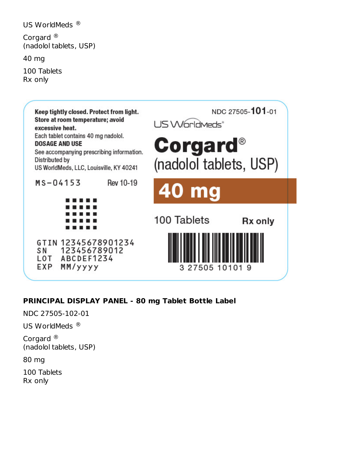US WorldMeds<sup>®</sup>

Corgard<sup>®</sup> (nadolol tablets, USP)

40 mg

100 Tablets Rx only



# **PRINCIPAL DISPLAY PANEL - 80 mg Tablet Bottle Label**

NDC 27505-102-01

US WorldMeds<sup>®</sup>

Corgard<sup>®</sup> (nadolol tablets, USP)

80 mg

100 Tablets Rx only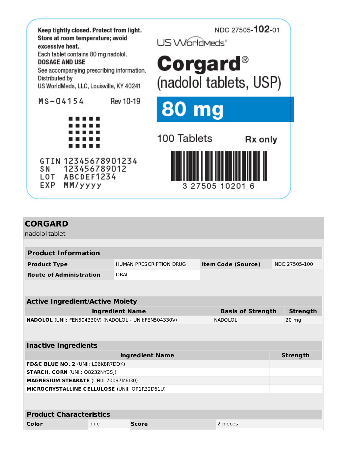

| <b>CORGARD</b><br>nadolol tablet                       |                        |                         |  |                           |  |                 |
|--------------------------------------------------------|------------------------|-------------------------|--|---------------------------|--|-----------------|
|                                                        |                        |                         |  |                           |  |                 |
| <b>Product Information</b>                             |                        |                         |  |                           |  |                 |
| <b>Product Type</b>                                    |                        | HUMAN PRESCRIPTION DRUG |  | <b>Item Code (Source)</b> |  | NDC:27505-100   |
| <b>Route of Administration</b>                         | ORAL                   |                         |  |                           |  |                 |
|                                                        |                        |                         |  |                           |  |                 |
|                                                        |                        |                         |  |                           |  |                 |
| <b>Active Ingredient/Active Moiety</b>                 |                        |                         |  |                           |  |                 |
|                                                        | <b>Ingredient Name</b> |                         |  | <b>Basis of Strength</b>  |  | <b>Strength</b> |
| NADOLOL (UNII: FEN504330V) (NADOLOL - UNII:FEN504330V) |                        |                         |  | <b>NADOLOL</b>            |  | $20$ mg         |
|                                                        |                        |                         |  |                           |  |                 |
| <b>Inactive Ingredients</b>                            |                        |                         |  |                           |  |                 |
|                                                        |                        | <b>Ingredient Name</b>  |  |                           |  | <b>Strength</b> |
| FD&C BLUE NO. 2 (UNII: L06K8R7DQK)                     |                        |                         |  |                           |  |                 |
| <b>STARCH, CORN (UNII: O8232NY3SJ)</b>                 |                        |                         |  |                           |  |                 |
| MAGNESIUM STEARATE (UNII: 70097M6I30)                  |                        |                         |  |                           |  |                 |
| MICROCRYSTALLINE CELLULOSE (UNII: OP1R32D61U)          |                        |                         |  |                           |  |                 |
|                                                        |                        |                         |  |                           |  |                 |
|                                                        |                        |                         |  |                           |  |                 |
| <b>Product Characteristics</b>                         |                        |                         |  |                           |  |                 |
| Color<br>2 pieces<br>blue<br><b>Score</b>              |                        |                         |  |                           |  |                 |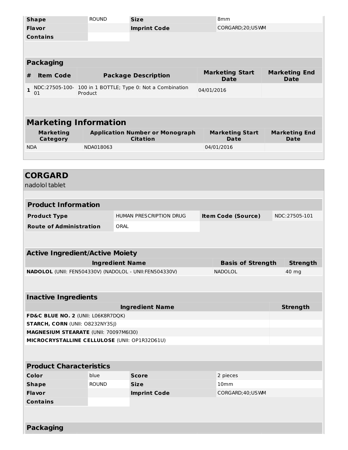|                                                | <b>Shape</b>                        | <b>ROUND</b>                                              | <b>Size</b>                                            |            | 8 <sub>mm</sub>                       |                    |                                     |
|------------------------------------------------|-------------------------------------|-----------------------------------------------------------|--------------------------------------------------------|------------|---------------------------------------|--------------------|-------------------------------------|
|                                                | <b>Flavor</b>                       |                                                           | <b>Imprint Code</b>                                    |            |                                       | CORGARD; 20; US WM |                                     |
|                                                | <b>Contains</b>                     |                                                           |                                                        |            |                                       |                    |                                     |
|                                                |                                     |                                                           |                                                        |            |                                       |                    |                                     |
|                                                |                                     |                                                           |                                                        |            |                                       |                    |                                     |
|                                                | <b>Packaging</b>                    |                                                           |                                                        |            |                                       |                    |                                     |
| #                                              | <b>Item Code</b>                    |                                                           | <b>Package Description</b>                             |            | <b>Marketing Start</b><br><b>Date</b> |                    | <b>Marketing End</b><br><b>Date</b> |
| $\mathbf{1}$                                   | NDC:27505-100-<br>01                | Product                                                   | 100 in 1 BOTTLE; Type 0: Not a Combination             | 04/01/2016 |                                       |                    |                                     |
|                                                |                                     |                                                           |                                                        |            |                                       |                    |                                     |
|                                                |                                     |                                                           |                                                        |            |                                       |                    |                                     |
|                                                | <b>Marketing Information</b>        |                                                           |                                                        |            |                                       |                    |                                     |
|                                                | <b>Marketing</b><br><b>Category</b> | <b>Application Number or Monograph</b><br><b>Citation</b> |                                                        |            | <b>Marketing Start</b><br><b>Date</b> |                    | <b>Marketing End</b><br><b>Date</b> |
| <b>NDA</b>                                     |                                     | NDA018063                                                 |                                                        |            | 04/01/2016                            |                    |                                     |
|                                                |                                     |                                                           |                                                        |            |                                       |                    |                                     |
|                                                |                                     |                                                           |                                                        |            |                                       |                    |                                     |
|                                                | <b>CORGARD</b>                      |                                                           |                                                        |            |                                       |                    |                                     |
|                                                | nadolol tablet                      |                                                           |                                                        |            |                                       |                    |                                     |
|                                                |                                     |                                                           |                                                        |            |                                       |                    |                                     |
|                                                | <b>Product Information</b>          |                                                           |                                                        |            |                                       |                    |                                     |
| HUMAN PRESCRIPTION DRUG<br><b>Product Type</b> |                                     |                                                           | <b>Item Code (Source)</b>                              |            | NDC:27505-101                         |                    |                                     |
| ORAL<br><b>Route of Administration</b>         |                                     |                                                           |                                                        |            |                                       |                    |                                     |
|                                                |                                     |                                                           |                                                        |            |                                       |                    |                                     |
| <b>Active Ingredient/Active Moiety</b>         |                                     |                                                           |                                                        |            |                                       |                    |                                     |
|                                                |                                     |                                                           | <b>Ingredient Name</b>                                 |            | <b>Basis of Strength</b>              |                    | <b>Strength</b>                     |
|                                                |                                     |                                                           | NADOLOL (UNII: FEN504330V) (NADOLOL - UNII:FEN504330V) |            | <b>NADOLOL</b>                        |                    | 40 mg                               |

| <b>Inactive Ingredients</b>                   |              |                        |                   |                 |
|-----------------------------------------------|--------------|------------------------|-------------------|-----------------|
|                                               |              | <b>Ingredient Name</b> |                   | <b>Strength</b> |
| FD&C BLUE NO. 2 (UNII: L06K8R7DQK)            |              |                        |                   |                 |
| <b>STARCH, CORN (UNII: O8232NY3SJ)</b>        |              |                        |                   |                 |
| MAGNESIUM STEARATE (UNII: 70097M6I30)         |              |                        |                   |                 |
| MICROCRYSTALLINE CELLULOSE (UNII: OP1R32D61U) |              |                        |                   |                 |
|                                               |              |                        |                   |                 |
|                                               |              |                        |                   |                 |
| <b>Product Characteristics</b>                |              |                        |                   |                 |
| Color                                         | blue         | <b>Score</b>           | 2 pieces          |                 |
| <b>Shape</b>                                  | <b>ROUND</b> | <b>Size</b>            | 10 <sub>mm</sub>  |                 |
| <b>Flavor</b>                                 |              | <b>Imprint Code</b>    | CORGARD; 40; USWM |                 |
| <b>Contains</b>                               |              |                        |                   |                 |
|                                               |              |                        |                   |                 |
|                                               |              |                        |                   |                 |
| <b>Packaging</b>                              |              |                        |                   |                 |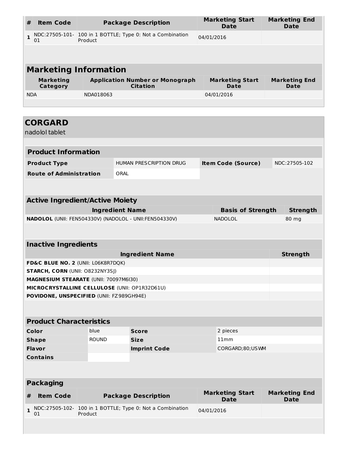| <b>Item Code</b><br>#                                                    | <b>Package Description</b>                                | <b>Marketing Start</b><br><b>Date</b> | <b>Marketing End</b><br><b>Date</b> |
|--------------------------------------------------------------------------|-----------------------------------------------------------|---------------------------------------|-------------------------------------|
| $\mathbf{1}$<br>Product<br>01                                            | NDC:27505-101- 100 in 1 BOTTLE; Type 0: Not a Combination | 04/01/2016                            |                                     |
|                                                                          |                                                           |                                       |                                     |
| <b>Marketing Information</b>                                             |                                                           |                                       |                                     |
| <b>Marketing</b><br>Category                                             | <b>Application Number or Monograph</b><br><b>Citation</b> | <b>Marketing Start</b><br>Date        | <b>Marketing End</b><br>Date        |
| NDA018063<br><b>NDA</b>                                                  |                                                           | 04/01/2016                            |                                     |
|                                                                          |                                                           |                                       |                                     |
|                                                                          |                                                           |                                       |                                     |
| <b>CORGARD</b><br>nadolol tablet                                         |                                                           |                                       |                                     |
|                                                                          |                                                           |                                       |                                     |
| <b>Product Information</b>                                               |                                                           |                                       |                                     |
| <b>Product Type</b>                                                      | HUMAN PRESCRIPTION DRUG                                   | <b>Item Code (Source)</b>             | NDC:27505-102                       |
| <b>Route of Administration</b>                                           | ORAL                                                      |                                       |                                     |
|                                                                          |                                                           |                                       |                                     |
|                                                                          |                                                           |                                       |                                     |
| <b>Active Ingredient/Active Moiety</b>                                   |                                                           |                                       |                                     |
|                                                                          | <b>Ingredient Name</b>                                    | <b>Basis of Strength</b>              | <b>Strength</b>                     |
|                                                                          | NADOLOL (UNII: FEN504330V) (NADOLOL - UNII:FEN504330V)    | <b>NADOLOL</b>                        | 80 mg                               |
|                                                                          |                                                           |                                       |                                     |
| <b>Inactive Ingredients</b>                                              |                                                           |                                       |                                     |
|                                                                          | <b>Ingredient Name</b>                                    |                                       | <b>Strength</b>                     |
| FD&C BLUE NO. 2 (UNII: L06K8R7DQK)                                       |                                                           |                                       |                                     |
| STARCH, CORN (UNII: O8232NY3SJ)<br>MAGNESIUM STEARATE (UNII: 70097M6I30) |                                                           |                                       |                                     |
| MICROCRYSTALLINE CELLULOSE (UNII: OP1R32D61U)                            |                                                           |                                       |                                     |
| POVIDONE, UNSPECIFIED (UNII: FZ989GH94E)                                 |                                                           |                                       |                                     |
|                                                                          |                                                           |                                       |                                     |
| <b>Product Characteristics</b>                                           |                                                           |                                       |                                     |
| Color<br>blue                                                            | <b>Score</b>                                              | 2 pieces                              |                                     |
| <b>ROUND</b><br><b>Shape</b>                                             | <b>Size</b>                                               | 11mm                                  |                                     |
| Flavor                                                                   | <b>Imprint Code</b>                                       | CORGARD; 80; US WM                    |                                     |
| <b>Contains</b>                                                          |                                                           |                                       |                                     |
|                                                                          |                                                           |                                       |                                     |
| <b>Packaging</b>                                                         |                                                           |                                       |                                     |
| <b>Item Code</b><br>#                                                    |                                                           | <b>Marketing Start</b>                | <b>Marketing End</b>                |
|                                                                          | <b>Package Description</b>                                | <b>Date</b>                           | <b>Date</b>                         |